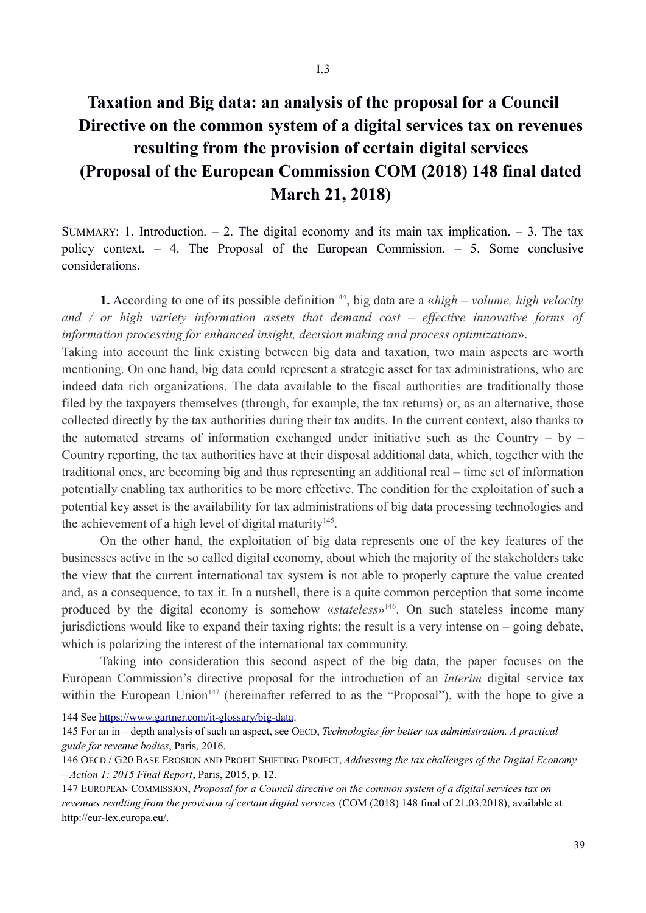## **Taxation and Big data: an analysis of the proposal for a Council Directive on the common system of a digital services tax on revenues resulting from the provision of certain digital services (Proposal of the European Commission COM (2018) 148 final dated March 21, 2018)**

SUMMARY: 1. Introduction.  $-2$ . The digital economy and its main tax implication.  $-3$ . The tax policy context. – 4. The Proposal of the European Commission. – 5. Some conclusive considerations.

**1.** According to one of its possible definition<sup>144</sup>, big data are a «*high – volume, high velocity and / or high variety information assets that demand cost – effective innovative forms of information processing for enhanced insight, decision making and process optimization*».

Taking into account the link existing between big data and taxation, two main aspects are worth mentioning. On one hand, big data could represent a strategic asset for tax administrations, who are indeed data rich organizations. The data available to the fiscal authorities are traditionally those filed by the taxpayers themselves (through, for example, the tax returns) or, as an alternative, those collected directly by the tax authorities during their tax audits. In the current context, also thanks to the automated streams of information exchanged under initiative such as the Country – by – Country reporting, the tax authorities have at their disposal additional data, which, together with the traditional ones, are becoming big and thus representing an additional real – time set of information potentially enabling tax authorities to be more effective. The condition for the exploitation of such a potential key asset is the availability for tax administrations of big data processing technologies and the achievement of a high level of digital maturity<sup>145</sup>.

On the other hand, the exploitation of big data represents one of the key features of the businesses active in the so called digital economy, about which the majority of the stakeholders take the view that the current international tax system is not able to properly capture the value created and, as a consequence, to tax it. In a nutshell, there is a quite common perception that some income produced by the digital economy is somehow «*stateless*»<sup>146</sup>. On such stateless income many jurisdictions would like to expand their taxing rights; the result is a very intense on – going debate, which is polarizing the interest of the international tax community.

Taking into consideration this second aspect of the big data, the paper focuses on the European Commission's directive proposal for the introduction of an *interim* digital service tax within the European Union<sup>147</sup> (hereinafter referred to as the "Proposal"), with the hope to give a

144 See https://www.gartner.com/it-glossary/big-data.

145 For an in – depth analysis of such an aspect, see OECD, *Technologies for better tax administration. A practical guide for revenue bodies*, Paris, 2016.

146 OECD / G20 BASE EROSION AND PROFIT SHIFTING PROJECT, *Addressing the tax challenges of the Digital Economy – Action 1: 2015 Final Report*, Paris, 2015, p. 12.

147 EUROPEAN COMMISSION, *Proposal for a Council directive on the common system of a digital services tax on revenues resulting from the provision of certain digital services* (COM (2018) 148 final of 21.03.2018), available at http://eur-lex.europa.eu/.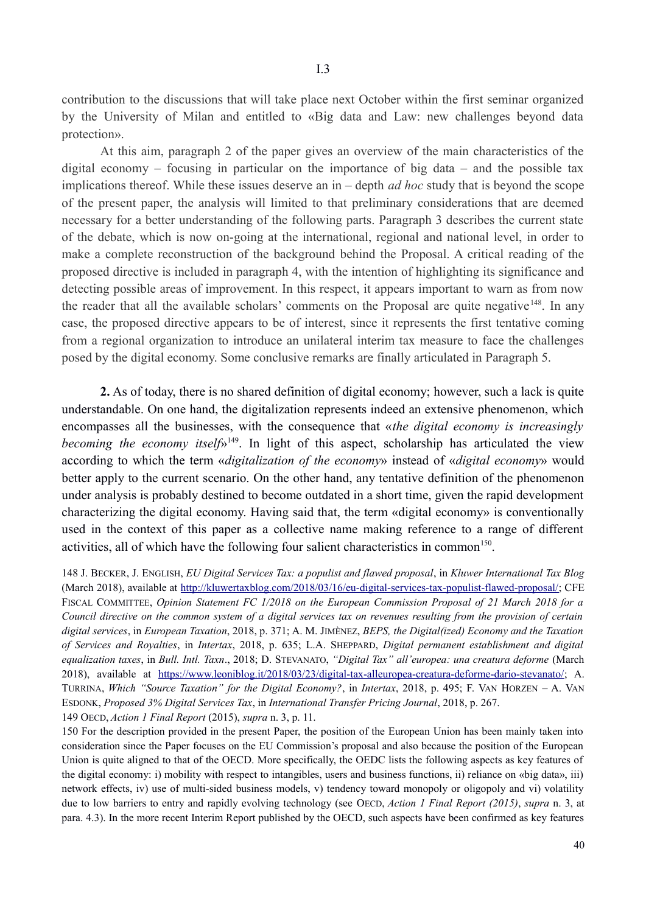contribution to the discussions that will take place next October within the first seminar organized by the University of Milan and entitled to «Big data and Law: new challenges beyond data protection».

At this aim, paragraph 2 of the paper gives an overview of the main characteristics of the digital economy – focusing in particular on the importance of big data – and the possible tax implications thereof. While these issues deserve an in – depth *ad hoc* study that is beyond the scope of the present paper, the analysis will limited to that preliminary considerations that are deemed necessary for a better understanding of the following parts. Paragraph 3 describes the current state of the debate, which is now on-going at the international, regional and national level, in order to make a complete reconstruction of the background behind the Proposal. A critical reading of the proposed directive is included in paragraph 4, with the intention of highlighting its significance and detecting possible areas of improvement. In this respect, it appears important to warn as from now the reader that all the available scholars' comments on the Proposal are quite negative  $148$ . In any case, the proposed directive appears to be of interest, since it represents the first tentative coming from a regional organization to introduce an unilateral interim tax measure to face the challenges posed by the digital economy. Some conclusive remarks are finally articulated in Paragraph 5.

**2.** As of today, there is no shared definition of digital economy; however, such a lack is quite understandable. On one hand, the digitalization represents indeed an extensive phenomenon, which encompasses all the businesses, with the consequence that «*the digital economy is increasingly becoming the economy itself*»<sup>149</sup>. In light of this aspect, scholarship has articulated the view according to which the term «*digitalization of the economy*» instead of «*digital economy*» would better apply to the current scenario. On the other hand, any tentative definition of the phenomenon under analysis is probably destined to become outdated in a short time, given the rapid development characterizing the digital economy. Having said that, the term «digital economy» is conventionally used in the context of this paper as a collective name making reference to a range of different activities, all of which have the following four salient characteristics in common<sup>150</sup>.

148 J. BECKER, J. ENGLISH, *EU Digital Services Tax: a populist and flawed proposal*, in *Kluwer International Tax Blog* (March 2018), available at http://kluwertaxblog.com/2018/03/16/eu-digital-services-tax-populist-flawed-proposal/; CFE FISCAL COMMITTEE, *Opinion Statement FC 1/2018 on the European Commission Proposal of 21 March 2018 for a Council directive on the common system of a digital services tax on revenues resulting from the provision of certain digital services*, in *European Taxation*, 2018, p. 371; A. M. JIMÈNEZ, *BEPS, the Digital(ized) Economy and the Taxation of Services and Royalties*, in *Intertax*, 2018, p. 635; L.A. SHEPPARD, *Digital permanent establishment and digital equalization taxes*, in *Bull. Intl. Taxn*., 2018; D. STEVANATO, *"Digital Tax" all'europea: una creatura deforme* (March 2018), available at https://www.leoniblog.it/2018/03/23/digital-tax-alleuropea-creatura-deforme-dario-stevanato/; A. TURRINA, *Which "Source Taxation" for the Digital Economy?*, in *Intertax*, 2018, p. 495; F. VAN HORZEN – A. VAN ESDONK, *Proposed 3% Digital Services Tax*, in *International Transfer Pricing Journal*, 2018, p. 267. 149 OECD, *Action 1 Final Report* (2015), *supra* n. 3, p. 11.

150 For the description provided in the present Paper, the position of the European Union has been mainly taken into consideration since the Paper focuses on the EU Commission's proposal and also because the position of the European Union is quite aligned to that of the OECD. More specifically, the OEDC lists the following aspects as key features of the digital economy: i) mobility with respect to intangibles, users and business functions, ii) reliance on «big data», iii) network effects, iv) use of multi-sided business models, v) tendency toward monopoly or oligopoly and vi) volatility due to low barriers to entry and rapidly evolving technology (see OECD, *Action 1 Final Report (2015)*, *supra* n. 3, at para. 4.3). In the more recent Interim Report published by the OECD, such aspects have been confirmed as key features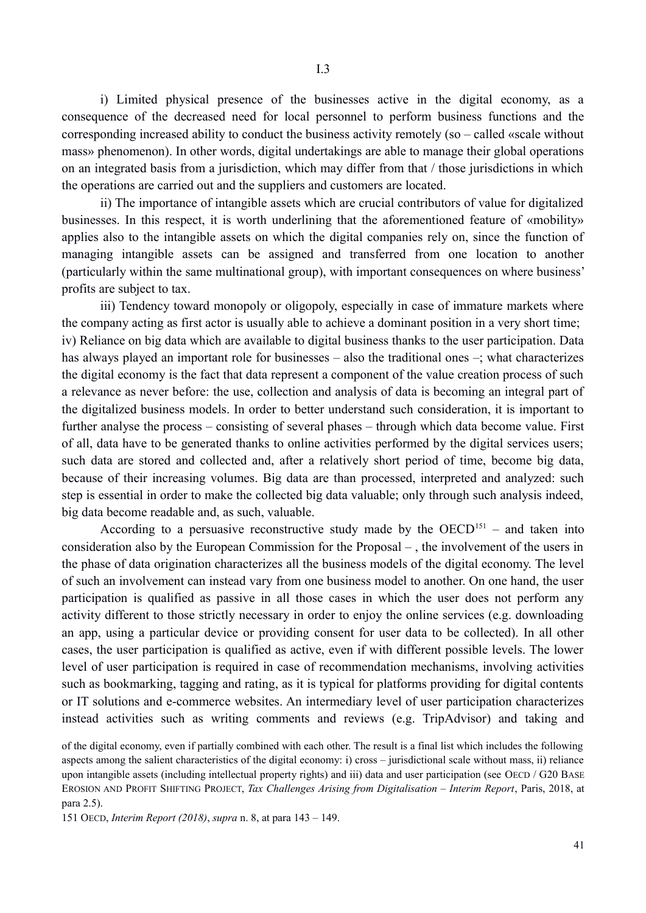i) Limited physical presence of the businesses active in the digital economy, as a consequence of the decreased need for local personnel to perform business functions and the corresponding increased ability to conduct the business activity remotely (so – called «scale without mass» phenomenon). In other words, digital undertakings are able to manage their global operations on an integrated basis from a jurisdiction, which may differ from that / those jurisdictions in which the operations are carried out and the suppliers and customers are located.

ii) The importance of intangible assets which are crucial contributors of value for digitalized businesses. In this respect, it is worth underlining that the aforementioned feature of «mobility» applies also to the intangible assets on which the digital companies rely on, since the function of managing intangible assets can be assigned and transferred from one location to another (particularly within the same multinational group), with important consequences on where business' profits are subject to tax.

iii) Tendency toward monopoly or oligopoly, especially in case of immature markets where the company acting as first actor is usually able to achieve a dominant position in a very short time; iv) Reliance on big data which are available to digital business thanks to the user participation. Data has always played an important role for businesses – also the traditional ones –; what characterizes the digital economy is the fact that data represent a component of the value creation process of such a relevance as never before: the use, collection and analysis of data is becoming an integral part of the digitalized business models. In order to better understand such consideration, it is important to further analyse the process – consisting of several phases – through which data become value. First of all, data have to be generated thanks to online activities performed by the digital services users; such data are stored and collected and, after a relatively short period of time, become big data, because of their increasing volumes. Big data are than processed, interpreted and analyzed: such step is essential in order to make the collected big data valuable; only through such analysis indeed, big data become readable and, as such, valuable.

According to a persuasive reconstructive study made by the  $OECD<sup>151</sup>$  – and taken into consideration also by the European Commission for the Proposal – , the involvement of the users in the phase of data origination characterizes all the business models of the digital economy. The level of such an involvement can instead vary from one business model to another. On one hand, the user participation is qualified as passive in all those cases in which the user does not perform any activity different to those strictly necessary in order to enjoy the online services (e.g. downloading an app, using a particular device or providing consent for user data to be collected). In all other cases, the user participation is qualified as active, even if with different possible levels. The lower level of user participation is required in case of recommendation mechanisms, involving activities such as bookmarking, tagging and rating, as it is typical for platforms providing for digital contents or IT solutions and e-commerce websites. An intermediary level of user participation characterizes instead activities such as writing comments and reviews (e.g. TripAdvisor) and taking and

of the digital economy, even if partially combined with each other. The result is a final list which includes the following aspects among the salient characteristics of the digital economy: i) cross – jurisdictional scale without mass, ii) reliance upon intangible assets (including intellectual property rights) and iii) data and user participation (see OECD / G20 BASE EROSION AND PROFIT SHIFTING PROJECT, *Tax Challenges Arising from Digitalisation – Interim Report*, Paris, 2018, at para 2.5).

151 OECD, *Interim Report (2018)*, *supra* n. 8, at para 143 – 149.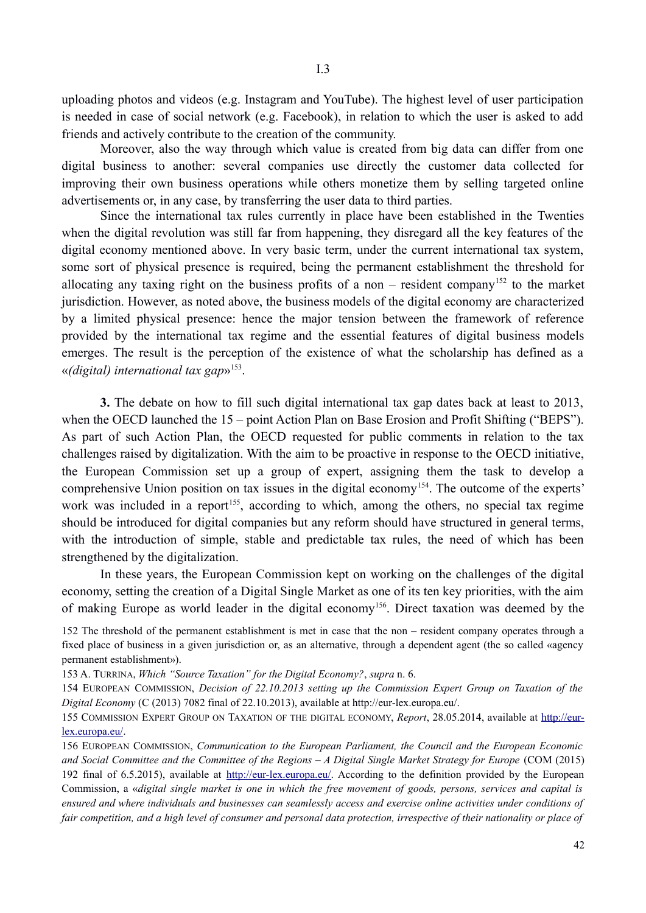uploading photos and videos (e.g. Instagram and YouTube). The highest level of user participation is needed in case of social network (e.g. Facebook), in relation to which the user is asked to add friends and actively contribute to the creation of the community.

Moreover, also the way through which value is created from big data can differ from one digital business to another: several companies use directly the customer data collected for improving their own business operations while others monetize them by selling targeted online advertisements or, in any case, by transferring the user data to third parties.

Since the international tax rules currently in place have been established in the Twenties when the digital revolution was still far from happening, they disregard all the key features of the digital economy mentioned above. In very basic term, under the current international tax system, some sort of physical presence is required, being the permanent establishment the threshold for allocating any taxing right on the business profits of a non – resident company<sup>152</sup> to the market jurisdiction. However, as noted above, the business models of the digital economy are characterized by a limited physical presence: hence the major tension between the framework of reference provided by the international tax regime and the essential features of digital business models emerges. The result is the perception of the existence of what the scholarship has defined as a «*(digital) international tax gap*»153.

**3.** The debate on how to fill such digital international tax gap dates back at least to 2013, when the OECD launched the 15 – point Action Plan on Base Erosion and Profit Shifting ("BEPS"). As part of such Action Plan, the OECD requested for public comments in relation to the tax challenges raised by digitalization. With the aim to be proactive in response to the OECD initiative, the European Commission set up a group of expert, assigning them the task to develop a comprehensive Union position on tax issues in the digital economy<sup>154</sup>. The outcome of the experts' work was included in a report<sup>155</sup>, according to which, among the others, no special tax regime should be introduced for digital companies but any reform should have structured in general terms, with the introduction of simple, stable and predictable tax rules, the need of which has been strengthened by the digitalization.

In these years, the European Commission kept on working on the challenges of the digital economy, setting the creation of a Digital Single Market as one of its ten key priorities, with the aim of making Europe as world leader in the digital economy<sup>156</sup>. Direct taxation was deemed by the

152 The threshold of the permanent establishment is met in case that the non – resident company operates through a fixed place of business in a given jurisdiction or, as an alternative, through a dependent agent (the so called «agency permanent establishment»).

153 A. TURRINA, *Which "Source Taxation" for the Digital Economy?*, *supra* n. 6.

154 EUROPEAN COMMISSION, *Decision of 22.10.2013 setting up the Commission Expert Group on Taxation of the Digital Economy* (C (2013) 7082 final of 22.10.2013), available at http://eur-lex.europa.eu/.

155 COMMISSION EXPERT GROUP ON TAXATION OF THE DIGITAL ECONOMY, *Report*, 28.05.2014, available at http://eurlex.europa.eu/.

156 EUROPEAN COMMISSION, *Communication to the European Parliament, the Council and the European Economic and Social Committee and the Committee of the Regions – A Digital Single Market Strategy for Europe* (COM (2015) 192 final of 6.5.2015), available at http://eur-lex.europa.eu/. According to the definition provided by the European Commission, a «*digital single market is one in which the free movement of goods, persons, services and capital is ensured and where individuals and businesses can seamlessly access and exercise online activities under conditions of fair competition, and a high level of consumer and personal data protection, irrespective of their nationality or place of*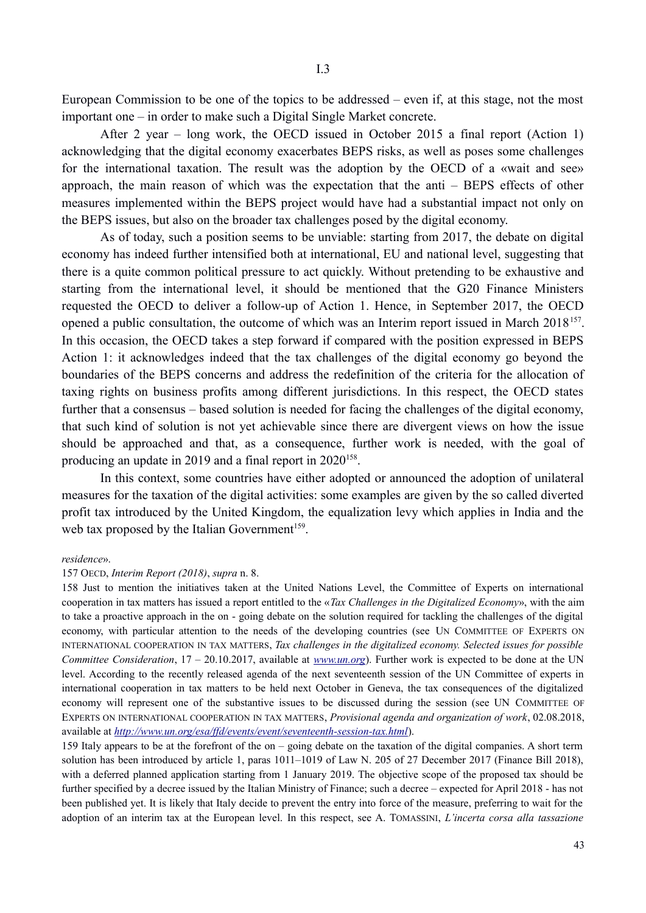European Commission to be one of the topics to be addressed – even if, at this stage, not the most important one – in order to make such a Digital Single Market concrete.

After 2 year – long work, the OECD issued in October 2015 a final report (Action 1) acknowledging that the digital economy exacerbates BEPS risks, as well as poses some challenges for the international taxation. The result was the adoption by the OECD of a «wait and see» approach, the main reason of which was the expectation that the anti – BEPS effects of other measures implemented within the BEPS project would have had a substantial impact not only on the BEPS issues, but also on the broader tax challenges posed by the digital economy.

As of today, such a position seems to be unviable: starting from 2017, the debate on digital economy has indeed further intensified both at international, EU and national level, suggesting that there is a quite common political pressure to act quickly. Without pretending to be exhaustive and starting from the international level, it should be mentioned that the G20 Finance Ministers requested the OECD to deliver a follow-up of Action 1. Hence, in September 2017, the OECD opened a public consultation, the outcome of which was an Interim report issued in March 2018<sup>157</sup>. In this occasion, the OECD takes a step forward if compared with the position expressed in BEPS Action 1: it acknowledges indeed that the tax challenges of the digital economy go beyond the boundaries of the BEPS concerns and address the redefinition of the criteria for the allocation of taxing rights on business profits among different jurisdictions. In this respect, the OECD states further that a consensus – based solution is needed for facing the challenges of the digital economy, that such kind of solution is not yet achievable since there are divergent views on how the issue should be approached and that, as a consequence, further work is needed, with the goal of producing an update in 2019 and a final report in 2020<sup>158</sup>.

In this context, some countries have either adopted or announced the adoption of unilateral measures for the taxation of the digital activities: some examples are given by the so called diverted profit tax introduced by the United Kingdom, the equalization levy which applies in India and the web tax proposed by the Italian Government<sup>159</sup>.

## *residence*».

## 157 OECD, *Interim Report (2018)*, *supra* n. 8.

158 Just to mention the initiatives taken at the United Nations Level, the Committee of Experts on international cooperation in tax matters has issued a report entitled to the «*Tax Challenges in the Digitalized Economy*», with the aim to take a proactive approach in the on - going debate on the solution required for tackling the challenges of the digital economy, with particular attention to the needs of the developing countries (see UN COMMITTEE OF EXPERTS ON INTERNATIONAL COOPERATION IN TAX MATTERS, *Tax challenges in the digitalized economy. Selected issues for possible Committee Consideration*, 17 – 20.10.2017, available at *www.un.org*). Further work is expected to be done at the UN level. According to the recently released agenda of the next seventeenth session of the UN Committee of experts in international cooperation in tax matters to be held next October in Geneva, the tax consequences of the digitalized economy will represent one of the substantive issues to be discussed during the session (see UN COMMITTEE OF EXPERTS ON INTERNATIONAL COOPERATION IN TAX MATTERS, *Provisional agenda and organization of work*, 02.08.2018, available at *http://www.un.org/esa/ffd/events/event/seventeenth-session-tax.html*).

159 Italy appears to be at the forefront of the on – going debate on the taxation of the digital companies. A short term solution has been introduced by article 1, paras 1011–1019 of Law N. 205 of 27 December 2017 (Finance Bill 2018), with a deferred planned application starting from 1 January 2019. The objective scope of the proposed tax should be further specified by a decree issued by the Italian Ministry of Finance; such a decree – expected for April 2018 - has not been published yet. It is likely that Italy decide to prevent the entry into force of the measure, preferring to wait for the adoption of an interim tax at the European level. In this respect, see A. TOMASSINI, *L'incerta corsa alla tassazione*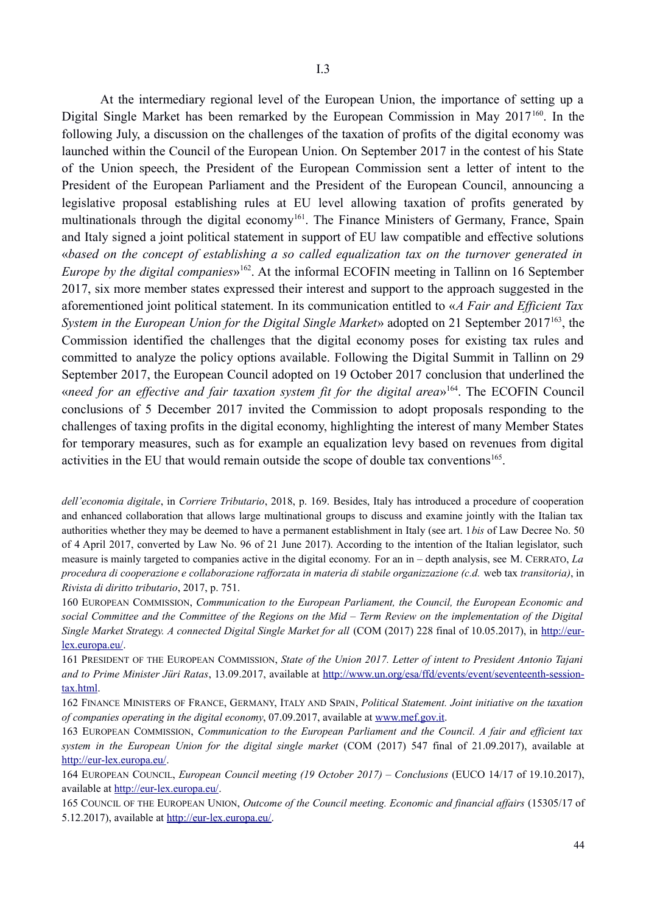At the intermediary regional level of the European Union, the importance of setting up a Digital Single Market has been remarked by the European Commission in May  $2017<sup>160</sup>$ . In the following July, a discussion on the challenges of the taxation of profits of the digital economy was launched within the Council of the European Union. On September 2017 in the contest of his State of the Union speech, the President of the European Commission sent a letter of intent to the President of the European Parliament and the President of the European Council, announcing a legislative proposal establishing rules at EU level allowing taxation of profits generated by multinationals through the digital economy<sup>161</sup>. The Finance Ministers of Germany, France, Spain and Italy signed a joint political statement in support of EU law compatible and effective solutions «*based on the concept of establishing a so called equalization tax on the turnover generated in Europe by the digital companies*»<sup>162</sup>. At the informal ECOFIN meeting in Tallinn on 16 September 2017, six more member states expressed their interest and support to the approach suggested in the aforementioned joint political statement. In its communication entitled to «*A Fair and Efficient Tax System in the European Union for the Digital Single Market»* adopted on 21 September 2017<sup>163</sup>, the Commission identified the challenges that the digital economy poses for existing tax rules and committed to analyze the policy options available. Following the Digital Summit in Tallinn on 29 September 2017, the European Council adopted on 19 October 2017 conclusion that underlined the «*need for an effective and fair taxation system fit for the digital area*<sup>164</sup>. The ECOFIN Council conclusions of 5 December 2017 invited the Commission to adopt proposals responding to the challenges of taxing profits in the digital economy, highlighting the interest of many Member States for temporary measures, such as for example an equalization levy based on revenues from digital activities in the EU that would remain outside the scope of double tax conventions<sup>165</sup>.

*dell'economia digitale*, in *Corriere Tributario*, 2018, p. 169. Besides, Italy has introduced a procedure of cooperation and enhanced collaboration that allows large multinational groups to discuss and examine jointly with the Italian tax authorities whether they may be deemed to have a permanent establishment in Italy (see art. 1*bis* of Law Decree No. 50 of 4 April 2017, converted by Law No. 96 of 21 June 2017). According to the intention of the Italian legislator, such measure is mainly targeted to companies active in the digital economy. For an in – depth analysis, see M. CERRATO, *La procedura di cooperazione e collaborazione rafforzata in materia di stabile organizzazione (c.d.* web tax *transitoria)*, in *Rivista di diritto tributario*, 2017, p. 751.

160 EUROPEAN COMMISSION, *Communication to the European Parliament, the Council, the European Economic and social Committee and the Committee of the Regions on the Mid – Term Review on the implementation of the Digital Single Market Strategy. A connected Digital Single Market for all* (COM (2017) 228 final of 10.05.2017), in http://eurlex.europa.eu/.

161 PRESIDENT OF THE EUROPEAN COMMISSION, *State of the Union 2017. Letter of intent to President Antonio Tajani and to Prime Minister Jüri Ratas*, 13.09.2017, available at http://www.un.org/esa/ffd/events/event/seventeenth-sessiontax.html.

162 FINANCE MINISTERS OF FRANCE, GERMANY, ITALY AND SPAIN, *Political Statement. Joint initiative on the taxation of companies operating in the digital economy*, 07.09.2017, available at www.mef.gov.it.

163 EUROPEAN COMMISSION, *Communication to the European Parliament and the Council. A fair and efficient tax system in the European Union for the digital single market* (COM (2017) 547 final of 21.09.2017), available at http://eur-lex.europa.eu/.

164 EUROPEAN COUNCIL, *European Council meeting (19 October 2017) – Conclusions* (EUCO 14/17 of 19.10.2017), available at http://eur-lex.europa.eu/.

165 COUNCIL OF THE EUROPEAN UNION, *Outcome of the Council meeting. Economic and financial affairs* (15305/17 of 5.12.2017), available at http://eur-lex.europa.eu/.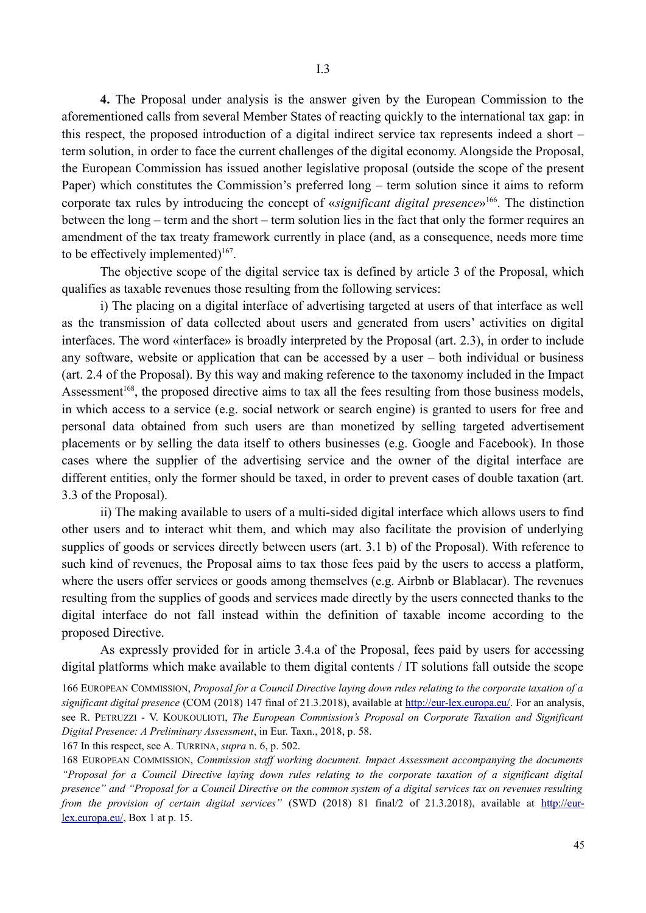**4.** The Proposal under analysis is the answer given by the European Commission to the aforementioned calls from several Member States of reacting quickly to the international tax gap: in this respect, the proposed introduction of a digital indirect service tax represents indeed a short – term solution, in order to face the current challenges of the digital economy. Alongside the Proposal, the European Commission has issued another legislative proposal (outside the scope of the present Paper) which constitutes the Commission's preferred long – term solution since it aims to reform corporate tax rules by introducing the concept of «*significant digital presence*»166. The distinction between the long – term and the short – term solution lies in the fact that only the former requires an amendment of the tax treaty framework currently in place (and, as a consequence, needs more time to be effectively implemented $167$ .

The objective scope of the digital service tax is defined by article 3 of the Proposal, which qualifies as taxable revenues those resulting from the following services:

i) The placing on a digital interface of advertising targeted at users of that interface as well as the transmission of data collected about users and generated from users' activities on digital interfaces. The word «interface» is broadly interpreted by the Proposal (art. 2.3), in order to include any software, website or application that can be accessed by a user – both individual or business (art. 2.4 of the Proposal). By this way and making reference to the taxonomy included in the Impact Assessment<sup>168</sup>, the proposed directive aims to tax all the fees resulting from those business models, in which access to a service (e.g. social network or search engine) is granted to users for free and personal data obtained from such users are than monetized by selling targeted advertisement placements or by selling the data itself to others businesses (e.g. Google and Facebook). In those cases where the supplier of the advertising service and the owner of the digital interface are different entities, only the former should be taxed, in order to prevent cases of double taxation (art. 3.3 of the Proposal).

ii) The making available to users of a multi-sided digital interface which allows users to find other users and to interact whit them, and which may also facilitate the provision of underlying supplies of goods or services directly between users (art. 3.1 b) of the Proposal). With reference to such kind of revenues, the Proposal aims to tax those fees paid by the users to access a platform, where the users offer services or goods among themselves (e.g. Airbnb or Blablacar). The revenues resulting from the supplies of goods and services made directly by the users connected thanks to the digital interface do not fall instead within the definition of taxable income according to the proposed Directive.

As expressly provided for in article 3.4.a of the Proposal, fees paid by users for accessing digital platforms which make available to them digital contents / IT solutions fall outside the scope

166 EUROPEAN COMMISSION, *Proposal for a Council Directive laying down rules relating to the corporate taxation of a significant digital presence* (COM (2018) 147 final of 21.3.2018), available at http://eur-lex.europa.eu/. For an analysis, see R. PETRUZZI - V. KOUKOULIOTI, *The European Commission's Proposal on Corporate Taxation and Significant Digital Presence: A Preliminary Assessment*, in Eur. Taxn., 2018, p. 58.

167 In this respect, see A. TURRINA, *supra* n. 6, p. 502.

168 EUROPEAN COMMISSION, *Commission staff working document. Impact Assessment accompanying the documents "Proposal for a Council Directive laying down rules relating to the corporate taxation of a significant digital presence" and "Proposal for a Council Directive on the common system of a digital services tax on revenues resulting from the provision of certain digital services"* (SWD (2018) 81 final/2 of 21.3.2018), available at http://eurlex.europa.eu/, Box 1 at p. 15.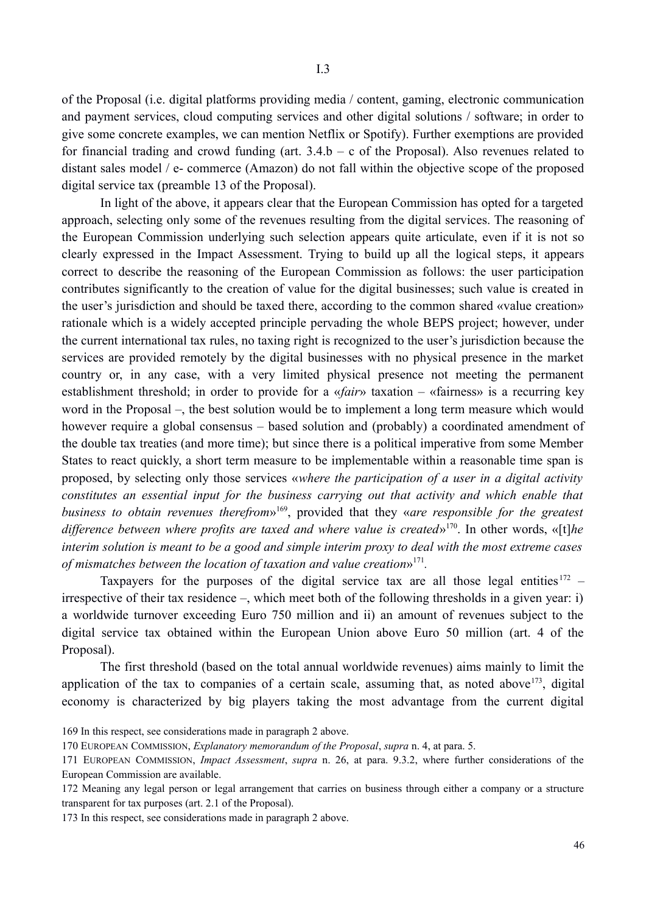of the Proposal (i.e. digital platforms providing media / content, gaming, electronic communication and payment services, cloud computing services and other digital solutions / software; in order to give some concrete examples, we can mention Netflix or Spotify). Further exemptions are provided for financial trading and crowd funding (art.  $3.4.b - c$  of the Proposal). Also revenues related to distant sales model / e- commerce (Amazon) do not fall within the objective scope of the proposed digital service tax (preamble 13 of the Proposal).

In light of the above, it appears clear that the European Commission has opted for a targeted approach, selecting only some of the revenues resulting from the digital services. The reasoning of the European Commission underlying such selection appears quite articulate, even if it is not so clearly expressed in the Impact Assessment. Trying to build up all the logical steps, it appears correct to describe the reasoning of the European Commission as follows: the user participation contributes significantly to the creation of value for the digital businesses; such value is created in the user's jurisdiction and should be taxed there, according to the common shared «value creation» rationale which is a widely accepted principle pervading the whole BEPS project; however, under the current international tax rules, no taxing right is recognized to the user's jurisdiction because the services are provided remotely by the digital businesses with no physical presence in the market country or, in any case, with a very limited physical presence not meeting the permanent establishment threshold; in order to provide for a «*fair*» taxation – «fairness» is a recurring key word in the Proposal –, the best solution would be to implement a long term measure which would however require a global consensus – based solution and (probably) a coordinated amendment of the double tax treaties (and more time); but since there is a political imperative from some Member States to react quickly, a short term measure to be implementable within a reasonable time span is proposed, by selecting only those services «*where the participation of a user in a digital activity constitutes an essential input for the business carrying out that activity and which enable that business to obtain revenues therefrom*»169, provided that they «*are responsible for the greatest difference between where profits are taxed and where value is created*»170. In other words, «[t]*he interim solution is meant to be a good and simple interim proxy to deal with the most extreme cases of mismatches between the location of taxation and value creation*»171*.*

Taxpayers for the purposes of the digital service tax are all those legal entities  $172$  – irrespective of their tax residence –, which meet both of the following thresholds in a given year: i) a worldwide turnover exceeding Euro 750 million and ii) an amount of revenues subject to the digital service tax obtained within the European Union above Euro 50 million (art. 4 of the Proposal).

The first threshold (based on the total annual worldwide revenues) aims mainly to limit the application of the tax to companies of a certain scale, assuming that, as noted above<sup>173</sup>, digital economy is characterized by big players taking the most advantage from the current digital

- 169 In this respect, see considerations made in paragraph 2 above.
- 170 EUROPEAN COMMISSION, *Explanatory memorandum of the Proposal*, *supra* n. 4, at para. 5.
- 171 EUROPEAN COMMISSION, *Impact Assessment*, *supra* n. 26, at para. 9.3.2, where further considerations of the European Commission are available.
- 172 Meaning any legal person or legal arrangement that carries on business through either a company or a structure transparent for tax purposes (art. 2.1 of the Proposal).

173 In this respect, see considerations made in paragraph 2 above.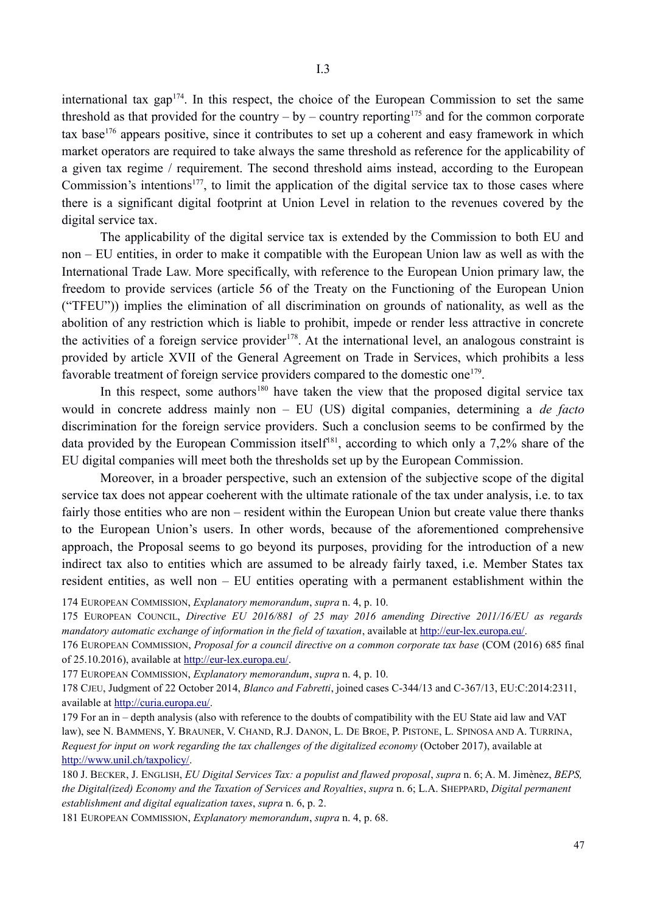international tax  $\text{gap}^{174}$ . In this respect, the choice of the European Commission to set the same threshold as that provided for the country – by – country reporting<sup>175</sup> and for the common corporate tax base<sup>176</sup> appears positive, since it contributes to set up a coherent and easy framework in which market operators are required to take always the same threshold as reference for the applicability of a given tax regime / requirement. The second threshold aims instead, according to the European Commission's intentions<sup>177</sup>, to limit the application of the digital service tax to those cases where there is a significant digital footprint at Union Level in relation to the revenues covered by the digital service tax.

The applicability of the digital service tax is extended by the Commission to both EU and non – EU entities, in order to make it compatible with the European Union law as well as with the International Trade Law. More specifically, with reference to the European Union primary law, the freedom to provide services (article 56 of the Treaty on the Functioning of the European Union ("TFEU")) implies the elimination of all discrimination on grounds of nationality, as well as the abolition of any restriction which is liable to prohibit, impede or render less attractive in concrete the activities of a foreign service provider<sup>178</sup>. At the international level, an analogous constraint is provided by article XVII of the General Agreement on Trade in Services, which prohibits a less favorable treatment of foreign service providers compared to the domestic one<sup>179</sup>.

In this respect, some authors<sup>180</sup> have taken the view that the proposed digital service tax would in concrete address mainly non – EU (US) digital companies, determining a *de facto* discrimination for the foreign service providers. Such a conclusion seems to be confirmed by the data provided by the European Commission itself<sup>181</sup>, according to which only a 7,2% share of the EU digital companies will meet both the thresholds set up by the European Commission.

Moreover, in a broader perspective, such an extension of the subjective scope of the digital service tax does not appear coeherent with the ultimate rationale of the tax under analysis, i.e. to tax fairly those entities who are non – resident within the European Union but create value there thanks to the European Union's users. In other words, because of the aforementioned comprehensive approach, the Proposal seems to go beyond its purposes, providing for the introduction of a new indirect tax also to entities which are assumed to be already fairly taxed, i.e. Member States tax resident entities, as well non – EU entities operating with a permanent establishment within the

174 EUROPEAN COMMISSION, *Explanatory memorandum*, *supra* n. 4, p. 10.

175 EUROPEAN COUNCIL, *Directive EU 2016/881 of 25 may 2016 amending Directive 2011/16/EU as regards mandatory automatic exchange of information in the field of taxation*, available at http://eur-lex.europa.eu/.

176 EUROPEAN COMMISSION, *Proposal for a council directive on a common corporate tax base* (COM (2016) 685 final of 25.10.2016), available at http://eur-lex.europa.eu/.

177 EUROPEAN COMMISSION, *Explanatory memorandum*, *supra* n. 4, p. 10.

178 CJEU, Judgment of 22 October 2014, *Blanco and Fabretti*, joined cases C-344/13 and C-367/13, EU:C:2014:2311, available at http://curia.europa.eu/.

179 For an in – depth analysis (also with reference to the doubts of compatibility with the EU State aid law and VAT law), see N. BAMMENS, Y. BRAUNER, V. CHAND, R.J. DANON, L. DE BROE, P. PISTONE, L. SPINOSA AND A. TURRINA, *Request for input on work regarding the tax challenges of the digitalized economy* (October 2017), available at http://www.unil.ch/taxpolicy/.

180 J. BECKER, J. ENGLISH, *EU Digital Services Tax: a populist and flawed proposal*, *supra* n. 6; A. M. Jimènez, *BEPS, the Digital(ized) Economy and the Taxation of Services and Royalties*, *supra* n. 6; L.A. SHEPPARD, *Digital permanent establishment and digital equalization taxes*, *supra* n. 6, p. 2.

181 EUROPEAN COMMISSION, *Explanatory memorandum*, *supra* n. 4, p. 68.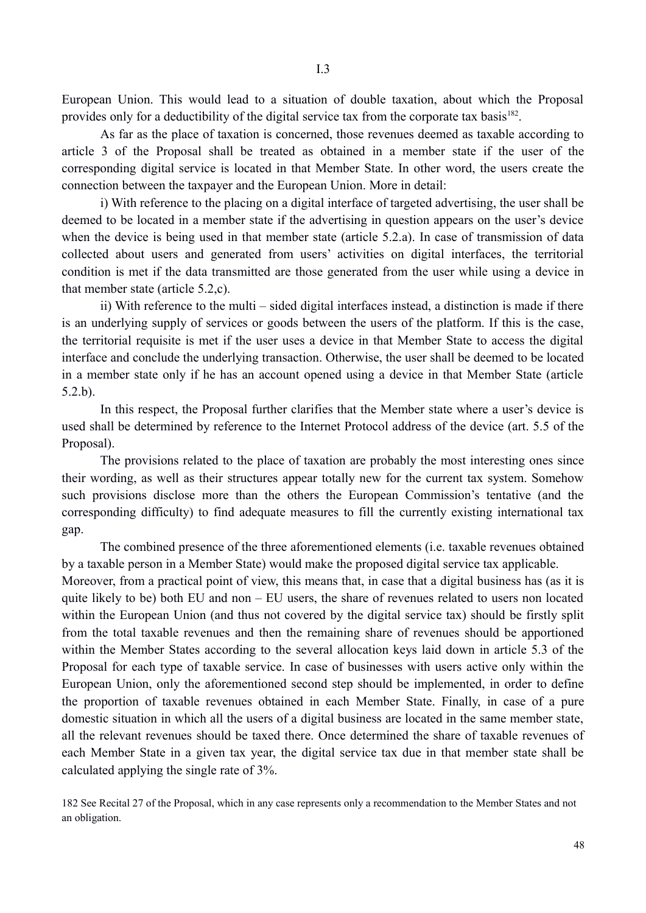European Union. This would lead to a situation of double taxation, about which the Proposal provides only for a deductibility of the digital service tax from the corporate tax basis<sup>182</sup>.

As far as the place of taxation is concerned, those revenues deemed as taxable according to article 3 of the Proposal shall be treated as obtained in a member state if the user of the corresponding digital service is located in that Member State. In other word, the users create the connection between the taxpayer and the European Union. More in detail:

i) With reference to the placing on a digital interface of targeted advertising, the user shall be deemed to be located in a member state if the advertising in question appears on the user's device when the device is being used in that member state (article 5.2.a). In case of transmission of data collected about users and generated from users' activities on digital interfaces, the territorial condition is met if the data transmitted are those generated from the user while using a device in that member state (article 5.2,c).

ii) With reference to the multi – sided digital interfaces instead, a distinction is made if there is an underlying supply of services or goods between the users of the platform. If this is the case, the territorial requisite is met if the user uses a device in that Member State to access the digital interface and conclude the underlying transaction. Otherwise, the user shall be deemed to be located in a member state only if he has an account opened using a device in that Member State (article 5.2.b).

In this respect, the Proposal further clarifies that the Member state where a user's device is used shall be determined by reference to the Internet Protocol address of the device (art. 5.5 of the Proposal).

The provisions related to the place of taxation are probably the most interesting ones since their wording, as well as their structures appear totally new for the current tax system. Somehow such provisions disclose more than the others the European Commission's tentative (and the corresponding difficulty) to find adequate measures to fill the currently existing international tax gap.

The combined presence of the three aforementioned elements (i.e. taxable revenues obtained by a taxable person in a Member State) would make the proposed digital service tax applicable.

Moreover, from a practical point of view, this means that, in case that a digital business has (as it is quite likely to be) both EU and non – EU users, the share of revenues related to users non located within the European Union (and thus not covered by the digital service tax) should be firstly split from the total taxable revenues and then the remaining share of revenues should be apportioned within the Member States according to the several allocation keys laid down in article 5.3 of the Proposal for each type of taxable service. In case of businesses with users active only within the European Union, only the aforementioned second step should be implemented, in order to define the proportion of taxable revenues obtained in each Member State. Finally, in case of a pure domestic situation in which all the users of a digital business are located in the same member state, all the relevant revenues should be taxed there. Once determined the share of taxable revenues of each Member State in a given tax year, the digital service tax due in that member state shall be calculated applying the single rate of 3%.

182 See Recital 27 of the Proposal, which in any case represents only a recommendation to the Member States and not an obligation.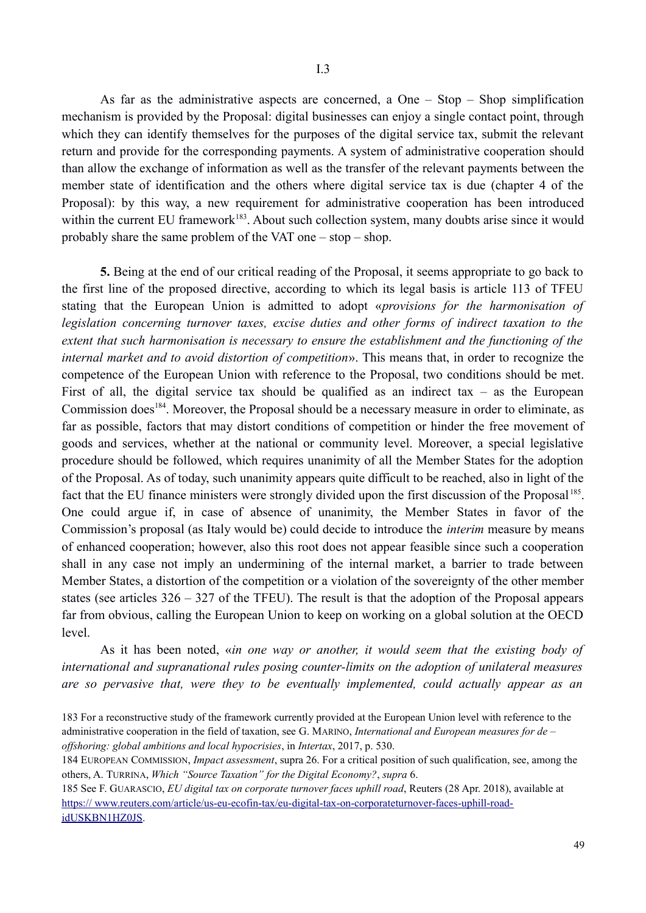As far as the administrative aspects are concerned, a One – Stop – Shop simplification mechanism is provided by the Proposal: digital businesses can enjoy a single contact point, through which they can identify themselves for the purposes of the digital service tax, submit the relevant return and provide for the corresponding payments. A system of administrative cooperation should than allow the exchange of information as well as the transfer of the relevant payments between the member state of identification and the others where digital service tax is due (chapter 4 of the Proposal): by this way, a new requirement for administrative cooperation has been introduced within the current EU framework<sup>183</sup>. About such collection system, many doubts arise since it would probably share the same problem of the VAT one – stop – shop.

**5.** Being at the end of our critical reading of the Proposal, it seems appropriate to go back to the first line of the proposed directive, according to which its legal basis is article 113 of TFEU stating that the European Union is admitted to adopt «*provisions for the harmonisation of legislation concerning turnover taxes, excise duties and other forms of indirect taxation to the extent that such harmonisation is necessary to ensure the establishment and the functioning of the internal market and to avoid distortion of competition*». This means that, in order to recognize the competence of the European Union with reference to the Proposal, two conditions should be met. First of all, the digital service tax should be qualified as an indirect tax – as the European Commission does<sup>184</sup>. Moreover, the Proposal should be a necessary measure in order to eliminate, as far as possible, factors that may distort conditions of competition or hinder the free movement of goods and services, whether at the national or community level. Moreover, a special legislative procedure should be followed, which requires unanimity of all the Member States for the adoption of the Proposal. As of today, such unanimity appears quite difficult to be reached, also in light of the fact that the EU finance ministers were strongly divided upon the first discussion of the Proposal<sup>185</sup>. One could argue if, in case of absence of unanimity, the Member States in favor of the Commission's proposal (as Italy would be) could decide to introduce the *interim* measure by means of enhanced cooperation; however, also this root does not appear feasible since such a cooperation shall in any case not imply an undermining of the internal market, a barrier to trade between Member States, a distortion of the competition or a violation of the sovereignty of the other member states (see articles  $326 - 327$  of the TFEU). The result is that the adoption of the Proposal appears far from obvious, calling the European Union to keep on working on a global solution at the OECD level.

As it has been noted, «*in one way or another, it would seem that the existing body of international and supranational rules posing counter-limits on the adoption of unilateral measures are so pervasive that, were they to be eventually implemented, could actually appear as an*

185 See F. GUARASCIO, *EU digital tax on corporate turnover faces uphill road*, Reuters (28 Apr. 2018), available at https:// www.reuters.com/article/us-eu-ecofin-tax/eu-digital-tax-on-corporateturnover-faces-uphill-roadidUSKBN1HZ0JS.

<sup>183</sup> For a reconstructive study of the framework currently provided at the European Union level with reference to the administrative cooperation in the field of taxation, see G. MARINO, *International and European measures for de – offshoring: global ambitions and local hypocrisies*, in *Intertax*, 2017, p. 530.

<sup>184</sup> EUROPEAN COMMISSION, *Impact assessment*, supra 26. For a critical position of such qualification, see, among the others, A. TURRINA, *Which "Source Taxation" for the Digital Economy?*, *supra* 6.